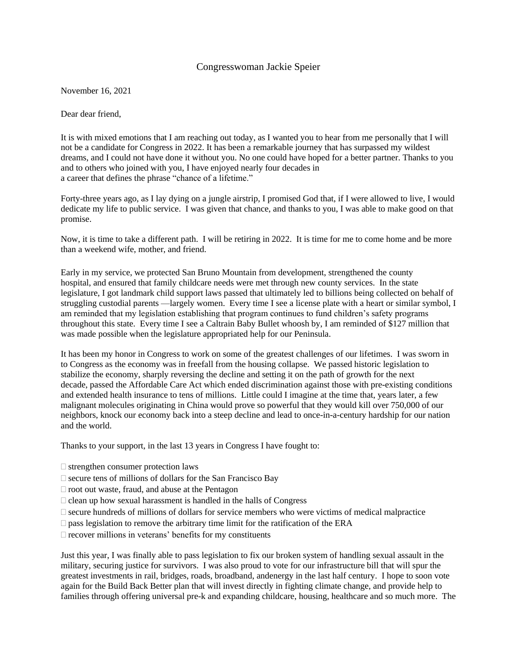## Congresswoman Jackie Speier

November 16, 2021

Dear dear friend,

It is with mixed emotions that I am reaching out today, as I wanted you to hear from me personally that I will not be a candidate for Congress in 2022. It has been a remarkable journey that has surpassed my wildest dreams, and I could not have done it without you. No one could have hoped for a better partner. Thanks to you and to others who joined with you, I have enjoyed nearly four decades in a career that defines the phrase "chance of a lifetime."

Forty-three years ago, as I lay dying on a jungle airstrip, I promised God that, if I were allowed to live, I would dedicate my life to public service. I was given that chance, and thanks to you, I was able to make good on that promise.

Now, it is time to take a different path. I will be retiring in 2022. It is time for me to come home and be more than a weekend wife, mother, and friend.

Early in my service, we protected San Bruno Mountain from development, strengthened the county hospital, and ensured that family childcare needs were met through new county services. In the state legislature, I got landmark child support laws passed that ultimately led to billions being collected on behalf of struggling custodial parents —largely women. Every time I see a license plate with a heart or similar symbol, I am reminded that my legislation establishing that program continues to fund children's safety programs throughout this state. Every time I see a Caltrain Baby Bullet whoosh by, I am reminded of \$127 million that was made possible when the legislature appropriated help for our Peninsula.

It has been my honor in Congress to work on some of the greatest challenges of our lifetimes. I was sworn in to Congress as the economy was in freefall from the housing collapse. We passed historic legislation to stabilize the economy, sharply reversing the decline and setting it on the path of growth for the next decade, passed the Affordable Care Act which ended discrimination against those with pre-existing conditions and extended health insurance to tens of millions. Little could I imagine at the time that, years later, a few malignant molecules originating in China would prove so powerful that they would kill over 750,000 of our neighbors, knock our economy back into a steep decline and lead to once-in-a-century hardship for our nation and the world.

Thanks to your support, in the last 13 years in Congress I have fought to:

- $\square$  strengthen consumer protection laws
- $\Box$  secure tens of millions of dollars for the San Francisco Bay
- $\Box$  root out waste, fraud, and abuse at the Pentagon
- $\Box$  clean up how sexual harassment is handled in the halls of Congress
- $\Box$  secure hundreds of millions of dollars for service members who were victims of medical malpractice
- $\square$  pass legislation to remove the arbitrary time limit for the ratification of the ERA
- $\Box$  recover millions in veterans' benefits for my constituents

Just this year, I was finally able to pass legislation to fix our broken system of handling sexual assault in the military, securing justice for survivors. I was also proud to vote for our infrastructure bill that will spur the greatest investments in rail, bridges, roads, broadband, andenergy in the last half century. I hope to soon vote again for the Build Back Better plan that will invest directly in fighting climate change, and provide help to families through offering universal pre-k and expanding childcare, housing, healthcare and so much more. The